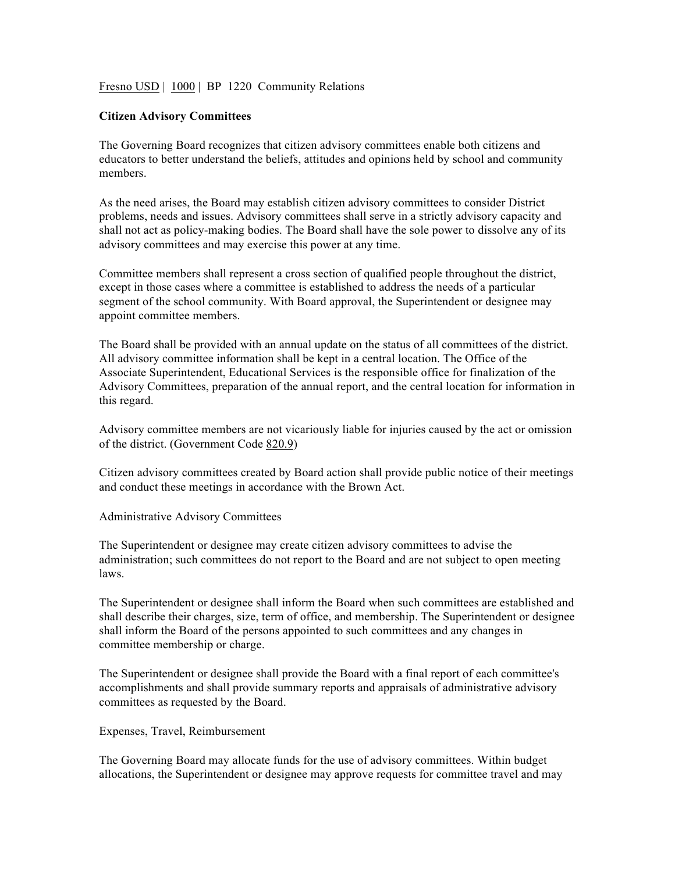Fresno USD | 1000 | BP 1220 Community Relations

## **Citizen Advisory Committees**

The Governing Board recognizes that citizen advisory committees enable both citizens and educators to better understand the beliefs, attitudes and opinions held by school and community members.

As the need arises, the Board may establish citizen advisory committees to consider District problems, needs and issues. Advisory committees shall serve in a strictly advisory capacity and shall not act as policy-making bodies. The Board shall have the sole power to dissolve any of its advisory committees and may exercise this power at any time.

Committee members shall represent a cross section of qualified people throughout the district, except in those cases where a committee is established to address the needs of a particular segment of the school community. With Board approval, the Superintendent or designee may appoint committee members.

The Board shall be provided with an annual update on the status of all committees of the district. All advisory committee information shall be kept in a central location. The Office of the Associate Superintendent, Educational Services is the responsible office for finalization of the Advisory Committees, preparation of the annual report, and the central location for information in this regard.

Advisory committee members are not vicariously liable for injuries caused by the act or omission of the district. (Government Code 820.9)

Citizen advisory committees created by Board action shall provide public notice of their meetings and conduct these meetings in accordance with the Brown Act.

Administrative Advisory Committees

The Superintendent or designee may create citizen advisory committees to advise the administration; such committees do not report to the Board and are not subject to open meeting laws.

The Superintendent or designee shall inform the Board when such committees are established and shall describe their charges, size, term of office, and membership. The Superintendent or designee shall inform the Board of the persons appointed to such committees and any changes in committee membership or charge.

The Superintendent or designee shall provide the Board with a final report of each committee's accomplishments and shall provide summary reports and appraisals of administrative advisory committees as requested by the Board.

Expenses, Travel, Reimbursement

The Governing Board may allocate funds for the use of advisory committees. Within budget allocations, the Superintendent or designee may approve requests for committee travel and may